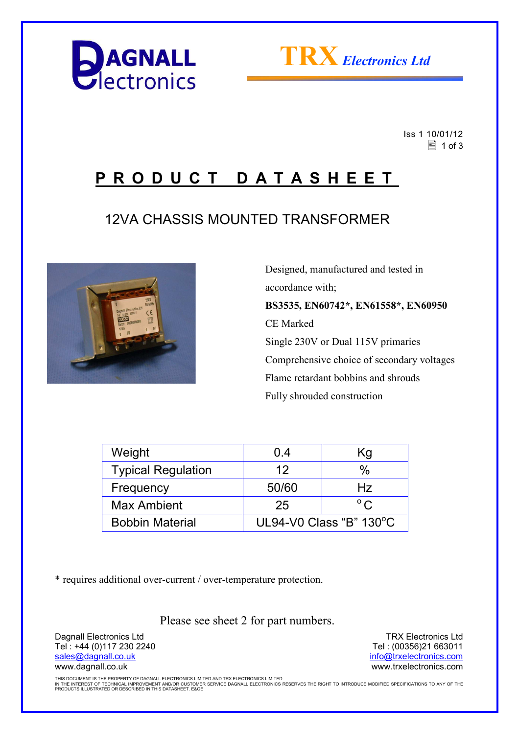



 Iss 1 10/01/12  $\equiv$  1 of 3

## **P R O D U C T D A T A S H E E T**

## 12VA CHASSIS MOUNTED TRANSFORMER



 Designed, manufactured and tested in accordance with; **BS3535, EN60742\*, EN61558\*, EN60950**  CE Marked Single 230V or Dual 115V primaries Comprehensive choice of secondary voltages Flame retardant bobbins and shrouds Fully shrouded construction

| Weight                    | 0.4                     | Κg           |  |
|---------------------------|-------------------------|--------------|--|
| <b>Typical Regulation</b> | 12                      | %            |  |
| Frequency                 | 50/60                   | Hz           |  |
| <b>Max Ambient</b>        | 25                      | $^{\circ}$ C |  |
| <b>Bobbin Material</b>    | UL94-V0 Class "B" 130°C |              |  |

\* requires additional over-current / over-temperature protection.

Please see sheet 2 for part numbers.

Dagnall Electronics Ltd Tel : +44 (0)117 230 2240 sales@dagnall.co.uk www.dagnall.co.uk

TRX Electronics Ltd Tel : (00356)21 663011 info@trxelectronics.com www.trxelectronics.com

THIS DOCUMENT IS THE PROPERTY OF DAGNALL ELECTRONICS LIMITED AND TRX ELECTRONICS LIMITED.<br>IN THE INTEREST OF TECHNICAL IMPROVEMENT AND/OR CUSTOMER SERVICE DAGNALL ELECTRONICS RESERVES THE RIGHT TO INTRODUCE MODIFIED SPECIF PRODUCTS ILLUSTRATED OR DESCRIBED IN THIS DATASHEET. E&OE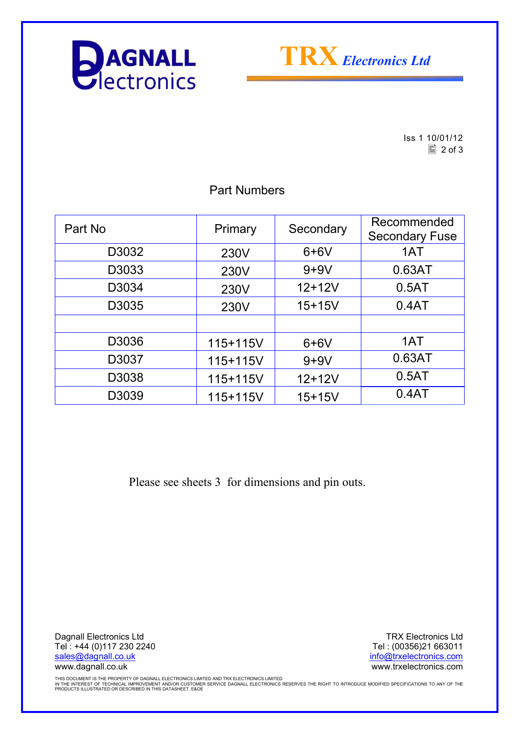



Iss 1 10/01/12  $\boxed{2}$  of 3

| Part No | Primary  | Secondary  | Recommended<br><b>Secondary Fuse</b> |
|---------|----------|------------|--------------------------------------|
| D3032   | 230V     | $6+6V$     | 1AT                                  |
| D3033   | 230V     | $9+9V$     | 0.63AT                               |
| D3034   | 230V     | $12+12V$   | 0.5AT                                |
| D3035   | 230V     | $15 + 15V$ | 0.4AT                                |
|         |          |            |                                      |
| D3036   | 115+115V | $6+6V$     | 1AT                                  |
| D3037   | 115+115V | $9+9V$     | 0.63AT                               |
| D3038   | 115+115V | $12 + 12V$ | 0.5AT                                |
| D3039   | 115+115V | $15 + 15V$ | 0.4AT                                |

Part Numbers

Please see sheets 3 for dimensions and pin outs.

Dagnall Electronics Ltd Tel : +44 (0)117 230 2240 sales@dagnall.co.uk www.dagnall.co.uk

TRX Electronics Ltd Tel : (00356)21 663011 info@trxelectronics.com www.trxelectronics.com

THIS DOCUMENT IS THE PROPERTY OF DAGNALL ELECTRONICS LIMITED AND TRX ELECTRONICS LIMITED.<br>IN THE INTEREST OF TECHNICAL IMPROVEMENT AND/OR CUSTOMER SERVICE DAGNALL ELECTRONICS RESERVES THE RIGHT TO INTRODUCE MODIFIED SPECIF